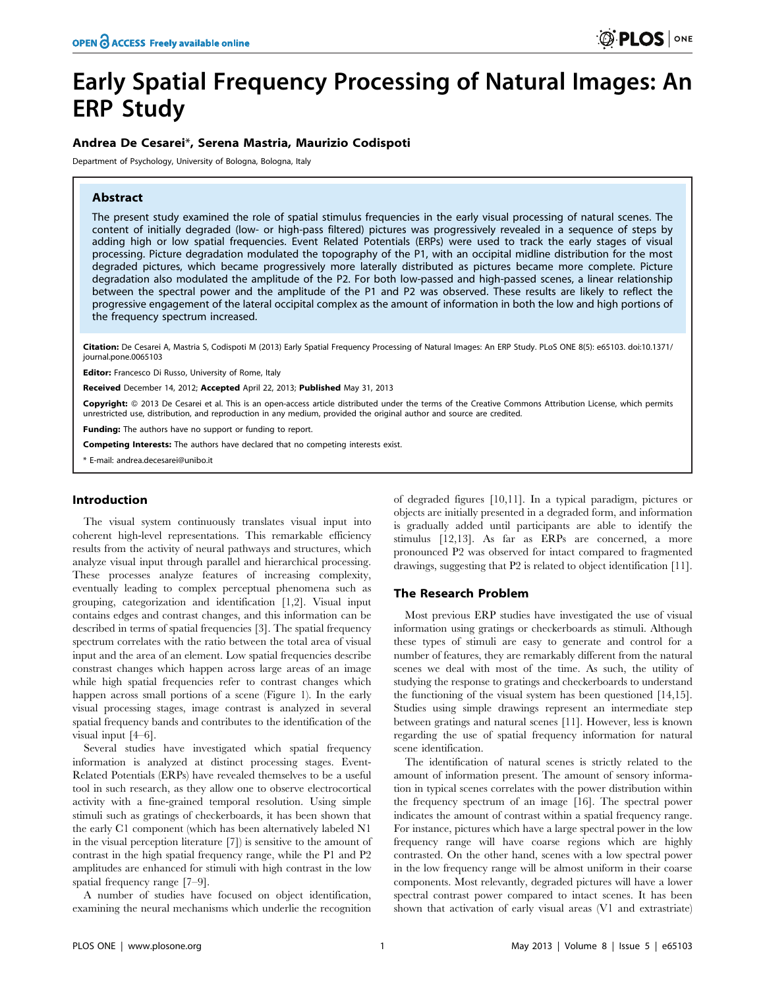# Early Spatial Frequency Processing of Natural Images: An ERP Study

## Andrea De Cesarei\*, Serena Mastria, Maurizio Codispoti

Department of Psychology, University of Bologna, Bologna, Italy

## Abstract

The present study examined the role of spatial stimulus frequencies in the early visual processing of natural scenes. The content of initially degraded (low- or high-pass filtered) pictures was progressively revealed in a sequence of steps by adding high or low spatial frequencies. Event Related Potentials (ERPs) were used to track the early stages of visual processing. Picture degradation modulated the topography of the P1, with an occipital midline distribution for the most degraded pictures, which became progressively more laterally distributed as pictures became more complete. Picture degradation also modulated the amplitude of the P2. For both low-passed and high-passed scenes, a linear relationship between the spectral power and the amplitude of the P1 and P2 was observed. These results are likely to reflect the progressive engagement of the lateral occipital complex as the amount of information in both the low and high portions of the frequency spectrum increased.

Citation: De Cesarei A, Mastria S, Codispoti M (2013) Early Spatial Frequency Processing of Natural Images: An ERP Study. PLoS ONE 8(5): e65103. doi:10.1371/ journal.pone.0065103

Editor: Francesco Di Russo, University of Rome, Italy

Received December 14, 2012; Accepted April 22, 2013; Published May 31, 2013

Copyright: @ 2013 De Cesarei et al. This is an open-access article distributed under the terms of the Creative Commons Attribution License, which permits unrestricted use, distribution, and reproduction in any medium, provided the original author and source are credited.

**Funding:** The authors have no support or funding to report.

Competing Interests: The authors have declared that no competing interests exist.

E-mail: andrea.decesarei@unibo.it

## Introduction

The visual system continuously translates visual input into coherent high-level representations. This remarkable efficiency results from the activity of neural pathways and structures, which analyze visual input through parallel and hierarchical processing. These processes analyze features of increasing complexity, eventually leading to complex perceptual phenomena such as grouping, categorization and identification [1,2]. Visual input contains edges and contrast changes, and this information can be described in terms of spatial frequencies [3]. The spatial frequency spectrum correlates with the ratio between the total area of visual input and the area of an element. Low spatial frequencies describe constrast changes which happen across large areas of an image while high spatial frequencies refer to contrast changes which happen across small portions of a scene (Figure 1). In the early visual processing stages, image contrast is analyzed in several spatial frequency bands and contributes to the identification of the visual input [4–6].

Several studies have investigated which spatial frequency information is analyzed at distinct processing stages. Event-Related Potentials (ERPs) have revealed themselves to be a useful tool in such research, as they allow one to observe electrocortical activity with a fine-grained temporal resolution. Using simple stimuli such as gratings of checkerboards, it has been shown that the early C1 component (which has been alternatively labeled N1 in the visual perception literature [7]) is sensitive to the amount of contrast in the high spatial frequency range, while the P1 and P2 amplitudes are enhanced for stimuli with high contrast in the low spatial frequency range [7–9].

A number of studies have focused on object identification, examining the neural mechanisms which underlie the recognition

of degraded figures [10,11]. In a typical paradigm, pictures or objects are initially presented in a degraded form, and information is gradually added until participants are able to identify the stimulus [12,13]. As far as ERPs are concerned, a more pronounced P2 was observed for intact compared to fragmented drawings, suggesting that P2 is related to object identification [11].

## The Research Problem

Most previous ERP studies have investigated the use of visual information using gratings or checkerboards as stimuli. Although these types of stimuli are easy to generate and control for a number of features, they are remarkably different from the natural scenes we deal with most of the time. As such, the utility of studying the response to gratings and checkerboards to understand the functioning of the visual system has been questioned [14,15]. Studies using simple drawings represent an intermediate step between gratings and natural scenes [11]. However, less is known regarding the use of spatial frequency information for natural scene identification.

The identification of natural scenes is strictly related to the amount of information present. The amount of sensory information in typical scenes correlates with the power distribution within the frequency spectrum of an image [16]. The spectral power indicates the amount of contrast within a spatial frequency range. For instance, pictures which have a large spectral power in the low frequency range will have coarse regions which are highly contrasted. On the other hand, scenes with a low spectral power in the low frequency range will be almost uniform in their coarse components. Most relevantly, degraded pictures will have a lower spectral contrast power compared to intact scenes. It has been shown that activation of early visual areas (V1 and extrastriate)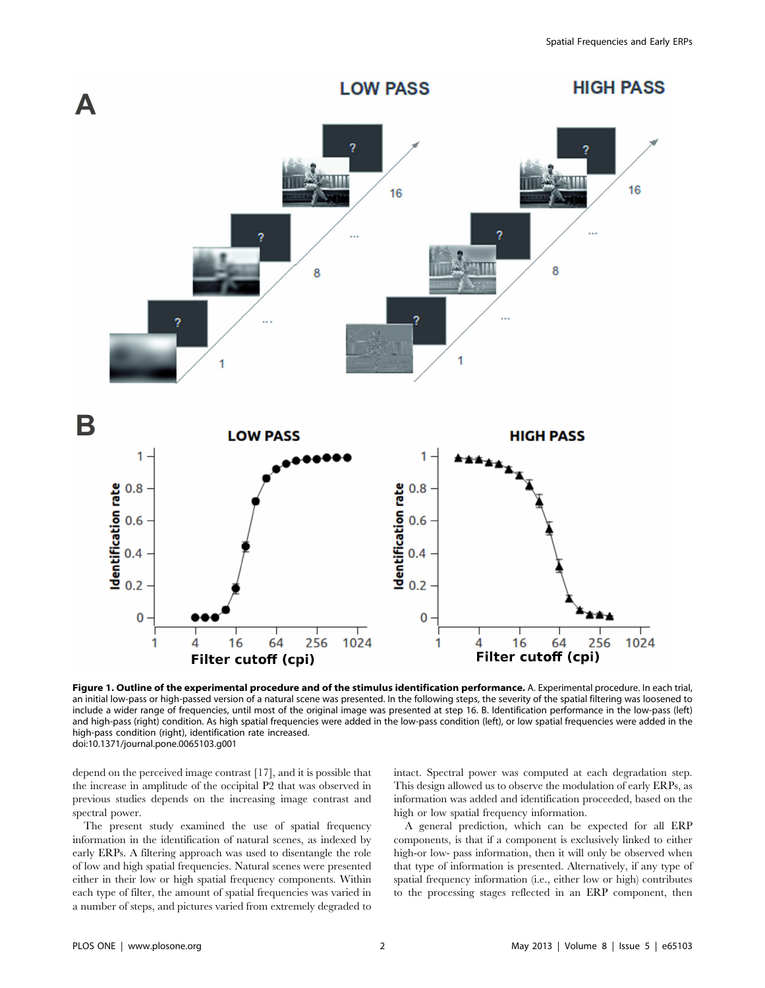

Figure 1. Outline of the experimental procedure and of the stimulus identification performance. A. Experimental procedure. In each trial, an initial low-pass or high-passed version of a natural scene was presented. In the following steps, the severity of the spatial filtering was loosened to include a wider range of frequencies, until most of the original image was presented at step 16. B. Identification performance in the low-pass (left) and high-pass (right) condition. As high spatial frequencies were added in the low-pass condition (left), or low spatial frequencies were added in the high-pass condition (right), identification rate increased. doi:10.1371/journal.pone.0065103.g001

depend on the perceived image contrast [17], and it is possible that the increase in amplitude of the occipital P2 that was observed in previous studies depends on the increasing image contrast and spectral power.

The present study examined the use of spatial frequency information in the identification of natural scenes, as indexed by early ERPs. A filtering approach was used to disentangle the role of low and high spatial frequencies. Natural scenes were presented either in their low or high spatial frequency components. Within each type of filter, the amount of spatial frequencies was varied in a number of steps, and pictures varied from extremely degraded to

intact. Spectral power was computed at each degradation step. This design allowed us to observe the modulation of early ERPs, as information was added and identification proceeded, based on the high or low spatial frequency information.

A general prediction, which can be expected for all ERP components, is that if a component is exclusively linked to either high-or low- pass information, then it will only be observed when that type of information is presented. Alternatively, if any type of spatial frequency information (i.e., either low or high) contributes to the processing stages reflected in an ERP component, then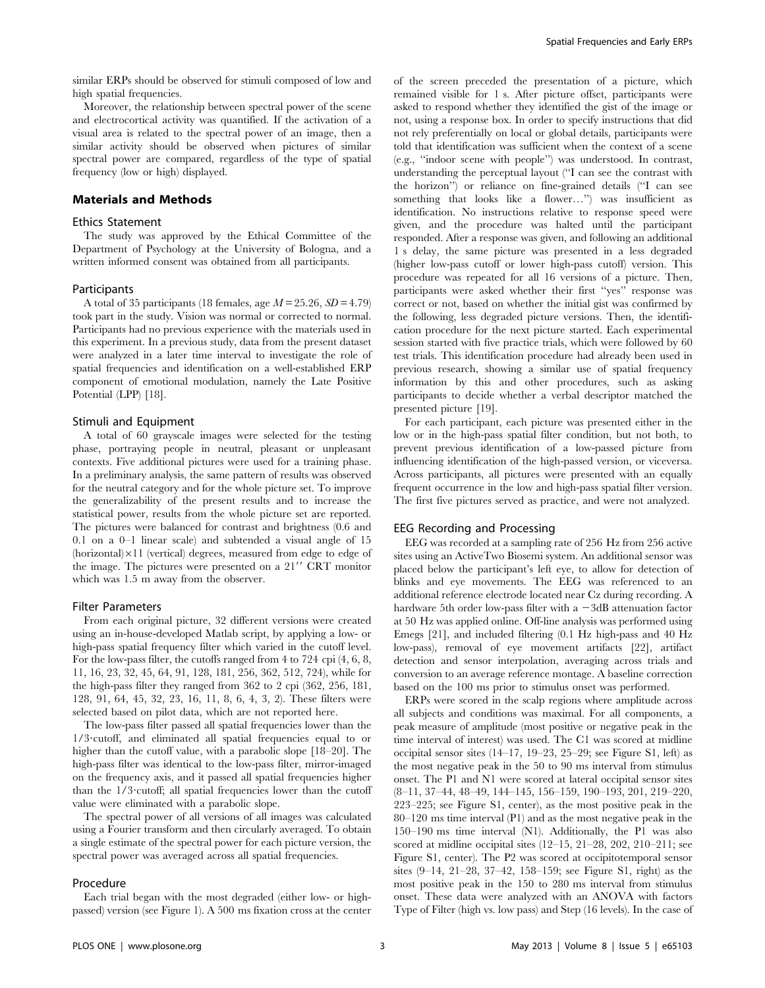similar ERPs should be observed for stimuli composed of low and high spatial frequencies.

Moreover, the relationship between spectral power of the scene and electrocortical activity was quantified. If the activation of a visual area is related to the spectral power of an image, then a similar activity should be observed when pictures of similar spectral power are compared, regardless of the type of spatial frequency (low or high) displayed.

## Materials and Methods

#### Ethics Statement

The study was approved by the Ethical Committee of the Department of Psychology at the University of Bologna, and a written informed consent was obtained from all participants.

#### **Participants**

A total of 35 participants (18 females, age  $M = 25.26$ ,  $SD = 4.79$ ) took part in the study. Vision was normal or corrected to normal. Participants had no previous experience with the materials used in this experiment. In a previous study, data from the present dataset were analyzed in a later time interval to investigate the role of spatial frequencies and identification on a well-established ERP component of emotional modulation, namely the Late Positive Potential (LPP) [18].

## Stimuli and Equipment

A total of 60 grayscale images were selected for the testing phase, portraying people in neutral, pleasant or unpleasant contexts. Five additional pictures were used for a training phase. In a preliminary analysis, the same pattern of results was observed for the neutral category and for the whole picture set. To improve the generalizability of the present results and to increase the statistical power, results from the whole picture set are reported. The pictures were balanced for contrast and brightness (0.6 and 0.1 on a 0–1 linear scale) and subtended a visual angle of 15  $(horizontal) \times 11$  (vertical) degrees, measured from edge to edge of the image. The pictures were presented on a 21" CRT monitor which was 1.5 m away from the observer.

## Filter Parameters

From each original picture, 32 different versions were created using an in-house-developed Matlab script, by applying a low- or high-pass spatial frequency filter which varied in the cutoff level. For the low-pass filter, the cutoffs ranged from 4 to 724 cpi (4, 6, 8, 11, 16, 23, 32, 45, 64, 91, 128, 181, 256, 362, 512, 724), while for the high-pass filter they ranged from 362 to 2 cpi (362, 256, 181, 128, 91, 64, 45, 32, 23, 16, 11, 8, 6, 4, 3, 2). These filters were selected based on pilot data, which are not reported here.

The low-pass filter passed all spatial frequencies lower than the 1/3?cutoff, and eliminated all spatial frequencies equal to or higher than the cutoff value, with a parabolic slope [18–20]. The high-pass filter was identical to the low-pass filter, mirror-imaged on the frequency axis, and it passed all spatial frequencies higher than the  $1/3$  cutoff; all spatial frequencies lower than the cutoff value were eliminated with a parabolic slope.

The spectral power of all versions of all images was calculated using a Fourier transform and then circularly averaged. To obtain a single estimate of the spectral power for each picture version, the spectral power was averaged across all spatial frequencies.

#### Procedure

Each trial began with the most degraded (either low- or highpassed) version (see Figure 1). A 500 ms fixation cross at the center of the screen preceded the presentation of a picture, which remained visible for 1 s. After picture offset, participants were asked to respond whether they identified the gist of the image or not, using a response box. In order to specify instructions that did not rely preferentially on local or global details, participants were told that identification was sufficient when the context of a scene (e.g., ''indoor scene with people'') was understood. In contrast, understanding the perceptual layout (''I can see the contrast with the horizon'') or reliance on fine-grained details (''I can see something that looks like a flower...") was insufficient as identification. No instructions relative to response speed were given, and the procedure was halted until the participant responded. After a response was given, and following an additional 1 s delay, the same picture was presented in a less degraded (higher low-pass cutoff or lower high-pass cutoff) version. This procedure was repeated for all 16 versions of a picture. Then, participants were asked whether their first ''yes'' response was correct or not, based on whether the initial gist was confirmed by the following, less degraded picture versions. Then, the identification procedure for the next picture started. Each experimental session started with five practice trials, which were followed by 60 test trials. This identification procedure had already been used in previous research, showing a similar use of spatial frequency information by this and other procedures, such as asking participants to decide whether a verbal descriptor matched the presented picture [19].

For each participant, each picture was presented either in the low or in the high-pass spatial filter condition, but not both, to prevent previous identification of a low-passed picture from influencing identification of the high-passed version, or viceversa. Across participants, all pictures were presented with an equally frequent occurrence in the low and high-pass spatial filter version. The first five pictures served as practice, and were not analyzed.

#### EEG Recording and Processing

EEG was recorded at a sampling rate of 256 Hz from 256 active sites using an ActiveTwo Biosemi system. An additional sensor was placed below the participant's left eye, to allow for detection of blinks and eye movements. The EEG was referenced to an additional reference electrode located near Cz during recording. A hardware 5th order low-pass filter with a  $-3dB$  attenuation factor at 50 Hz was applied online. Off-line analysis was performed using Emegs [21], and included filtering (0.1 Hz high-pass and 40 Hz low-pass), removal of eye movement artifacts [22], artifact detection and sensor interpolation, averaging across trials and conversion to an average reference montage. A baseline correction based on the 100 ms prior to stimulus onset was performed.

ERPs were scored in the scalp regions where amplitude across all subjects and conditions was maximal. For all components, a peak measure of amplitude (most positive or negative peak in the time interval of interest) was used. The C1 was scored at midline occipital sensor sites (14–17, 19–23, 25–29; see Figure S1, left) as the most negative peak in the 50 to 90 ms interval from stimulus onset. The P1 and N1 were scored at lateral occipital sensor sites (8–11, 37–44, 48–49, 144–145, 156–159, 190–193, 201, 219–220, 223–225; see Figure S1, center), as the most positive peak in the 80–120 ms time interval (P1) and as the most negative peak in the 150–190 ms time interval (N1). Additionally, the P1 was also scored at midline occipital sites (12–15, 21–28, 202, 210–211; see Figure S1, center). The P2 was scored at occipitotemporal sensor sites (9–14, 21–28, 37–42, 158–159; see Figure S1, right) as the most positive peak in the 150 to 280 ms interval from stimulus onset. These data were analyzed with an ANOVA with factors Type of Filter (high vs. low pass) and Step (16 levels). In the case of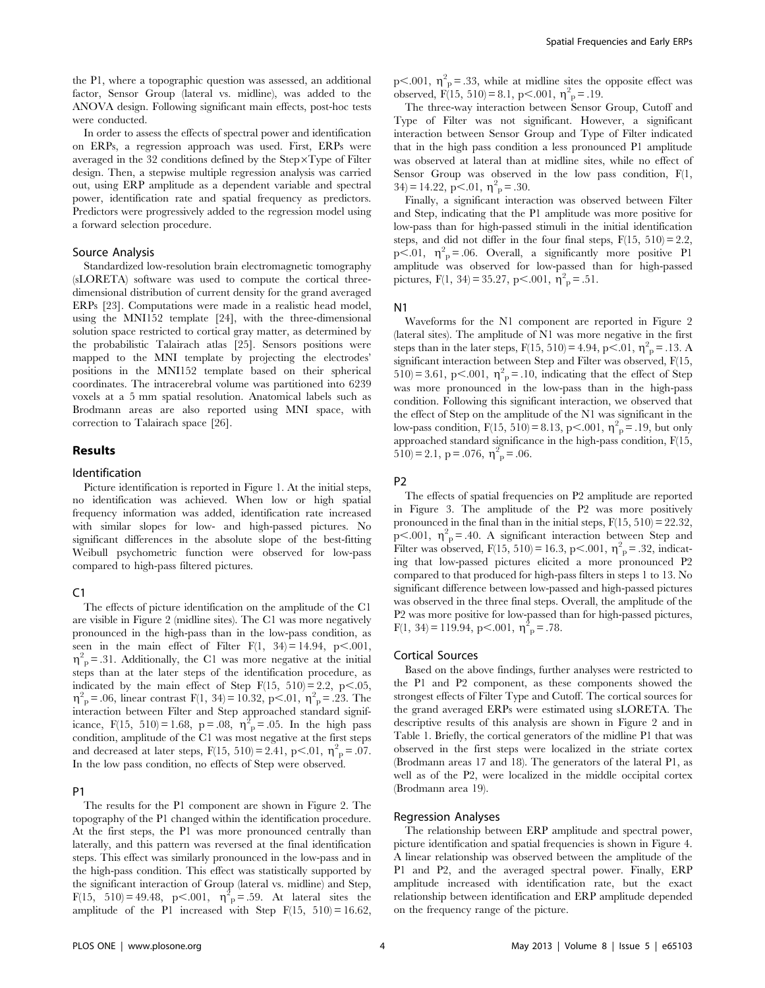the P1, where a topographic question was assessed, an additional factor, Sensor Group (lateral vs. midline), was added to the ANOVA design. Following significant main effects, post-hoc tests were conducted.

In order to assess the effects of spectral power and identification on ERPs, a regression approach was used. First, ERPs were averaged in the 32 conditions defined by the  $Step \times Type$  of Filter design. Then, a stepwise multiple regression analysis was carried out, using ERP amplitude as a dependent variable and spectral power, identification rate and spatial frequency as predictors. Predictors were progressively added to the regression model using a forward selection procedure.

#### Source Analysis

Standardized low-resolution brain electromagnetic tomography (sLORETA) software was used to compute the cortical threedimensional distribution of current density for the grand averaged ERPs [23]. Computations were made in a realistic head model, using the MNI152 template [24], with the three-dimensional solution space restricted to cortical gray matter, as determined by the probabilistic Talairach atlas [25]. Sensors positions were mapped to the MNI template by projecting the electrodes' positions in the MNI152 template based on their spherical coordinates. The intracerebral volume was partitioned into 6239 voxels at a 5 mm spatial resolution. Anatomical labels such as Brodmann areas are also reported using MNI space, with correction to Talairach space [26].

## Results

#### Identification

Picture identification is reported in Figure 1. At the initial steps, no identification was achieved. When low or high spatial frequency information was added, identification rate increased with similar slopes for low- and high-passed pictures. No significant differences in the absolute slope of the best-fitting Weibull psychometric function were observed for low-pass compared to high-pass filtered pictures.

#### $C<sub>1</sub>$

The effects of picture identification on the amplitude of the C1 are visible in Figure 2 (midline sites). The C1 was more negatively pronounced in the high-pass than in the low-pass condition, as seen in the main effect of Filter F(1, 34) = 14.94, p<.001,  $\eta_{\text{p}}^2$  = .31. Additionally, the C1 was more negative at the initial steps than at the later steps of the identification procedure, as indicated by the main effect of Step  $F(15, 510) = 2.2$ ,  $p<.05$ ,  $\eta_{\text{p}}^2 = .06$ , linear contrast F(1, 34) = 10.32, p < 01,  $\eta_{\text{p}}^2 = .23$ . The interaction between Filter and Step approached standard significance, F(15, 510) = 1.68, p = .08,  $\eta_{\text{p}}^2$  = .05. In the high pass condition, amplitude of the C1 was most negative at the first steps and decreased at later steps,  $F(15, 510) = 2.41$ , p<.01,  $\eta^2 = .07$ . In the low pass condition, no effects of Step were observed.

## P1

The results for the P1 component are shown in Figure 2. The topography of the P1 changed within the identification procedure. At the first steps, the P1 was more pronounced centrally than laterally, and this pattern was reversed at the final identification steps. This effect was similarly pronounced in the low-pass and in the high-pass condition. This effect was statistically supported by the significant interaction of Group (lateral vs. midline) and Step, F(15, 510) = 49.48, p<.001,  $\eta_{\text{p}}^2$  = .59. At lateral sites the amplitude of the P1 increased with Step  $F(15, 510) = 16.62$ , p<.001,  $\eta^2$ <sub>p</sub> = .33, while at midline sites the opposite effect was observed,  $F(15, 510) = 8.1$ , p<.001,  $\eta^2$ <sub>p</sub> = .19.

The three-way interaction between Sensor Group, Cutoff and Type of Filter was not significant. However, a significant interaction between Sensor Group and Type of Filter indicated that in the high pass condition a less pronounced P1 amplitude was observed at lateral than at midline sites, while no effect of Sensor Group was observed in the low pass condition,  $F(1,$  $34 = 14.22, p<.01, \eta_p^2 = .30.$ 

Finally, a significant interaction was observed between Filter and Step, indicating that the P1 amplitude was more positive for low-pass than for high-passed stimuli in the initial identification steps, and did not differ in the four final steps,  $F(15, 510) = 2.2$ ,  $p<.01$ ,  $\eta^2$ <sub>p</sub> = .06. Overall, a significantly more positive P1 amplitude was observed for low-passed than for high-passed pictures, F(1, 34) = 35.27, p<.001,  $\eta^2$ <sub>p</sub> = .51.

#### N1

Waveforms for the N1 component are reported in Figure 2 (lateral sites). The amplitude of N1 was more negative in the first steps than in the later steps,  $F(15, 510) = 4.94$ , p $\lt$ .01,  $\eta_p^2 = .13$ . A significant interaction between Step and Filter was observed, F(15,  $510$ ) = 3.61, p<.001,  $\eta^2$ <sub>p</sub> = .10, indicating that the effect of Step was more pronounced in the low-pass than in the high-pass condition. Following this significant interaction, we observed that the effect of Step on the amplitude of the N1 was significant in the low-pass condition,  $F(15, 510) = 8.13$ , p<.001,  $\eta_{\text{p}}^2 = .19$ , but only approached standard significance in the high-pass condition, F(15,  $(510) = 2.1$ , p = .076,  $\eta_{\text{p}}^2 = .06$ .

#### P2

The effects of spatial frequencies on P2 amplitude are reported in Figure 3. The amplitude of the P2 was more positively pronounced in the final than in the initial steps,  $F(15, 510) = 22.32$ ,  $p<.001$ ,  $\eta^2$ <sub>p</sub> = .40. A significant interaction between Step and Filter was observed,  $F(15, 510) = 16.3$ , p<.001,  $\eta_p^2 = .32$ , indicating that low-passed pictures elicited a more pronounced P2 compared to that produced for high-pass filters in steps 1 to 13. No significant difference between low-passed and high-passed pictures was observed in the three final steps. Overall, the amplitude of the P2 was more positive for low-passed than for high-passed pictures,  $F(1, 34) = 119.94, p<.001, \eta_{p}^{2} = .78.$ 

## Cortical Sources

Based on the above findings, further analyses were restricted to the P1 and P2 component, as these components showed the strongest effects of Filter Type and Cutoff. The cortical sources for the grand averaged ERPs were estimated using sLORETA. The descriptive results of this analysis are shown in Figure 2 and in Table 1. Briefly, the cortical generators of the midline P1 that was observed in the first steps were localized in the striate cortex (Brodmann areas 17 and 18). The generators of the lateral P1, as well as of the P2, were localized in the middle occipital cortex (Brodmann area 19).

## Regression Analyses

The relationship between ERP amplitude and spectral power, picture identification and spatial frequencies is shown in Figure 4. A linear relationship was observed between the amplitude of the P1 and P2, and the averaged spectral power. Finally, ERP amplitude increased with identification rate, but the exact relationship between identification and ERP amplitude depended on the frequency range of the picture.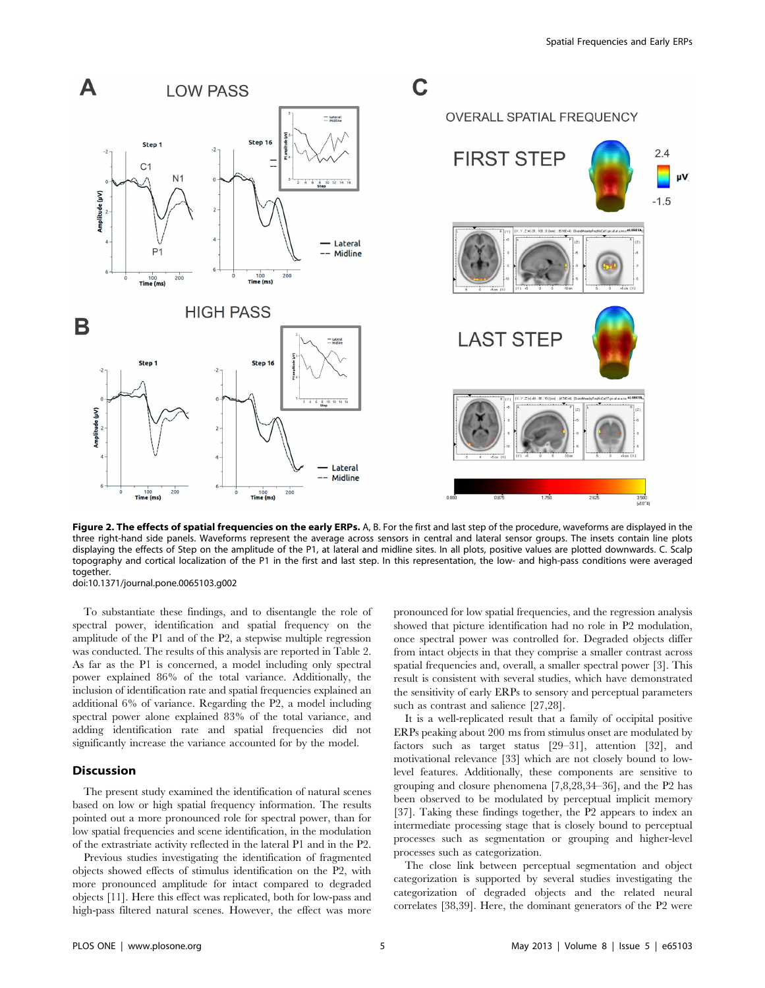

Figure 2. The effects of spatial frequencies on the early ERPs. A, B. For the first and last step of the procedure, waveforms are displayed in the three right-hand side panels. Waveforms represent the average across sensors in central and lateral sensor groups. The insets contain line plots displaying the effects of Step on the amplitude of the P1, at lateral and midline sites. In all plots, positive values are plotted downwards. C. Scalp topography and cortical localization of the P1 in the first and last step. In this representation, the low- and high-pass conditions were averaged together.

doi:10.1371/journal.pone.0065103.g002

To substantiate these findings, and to disentangle the role of spectral power, identification and spatial frequency on the amplitude of the P1 and of the P2, a stepwise multiple regression was conducted. The results of this analysis are reported in Table 2. As far as the P1 is concerned, a model including only spectral power explained 86% of the total variance. Additionally, the inclusion of identification rate and spatial frequencies explained an additional 6% of variance. Regarding the P2, a model including spectral power alone explained 83% of the total variance, and adding identification rate and spatial frequencies did not significantly increase the variance accounted for by the model.

## Discussion

The present study examined the identification of natural scenes based on low or high spatial frequency information. The results pointed out a more pronounced role for spectral power, than for low spatial frequencies and scene identification, in the modulation of the extrastriate activity reflected in the lateral P1 and in the P2.

Previous studies investigating the identification of fragmented objects showed effects of stimulus identification on the P2, with more pronounced amplitude for intact compared to degraded objects [11]. Here this effect was replicated, both for low-pass and high-pass filtered natural scenes. However, the effect was more pronounced for low spatial frequencies, and the regression analysis showed that picture identification had no role in P2 modulation, once spectral power was controlled for. Degraded objects differ from intact objects in that they comprise a smaller contrast across spatial frequencies and, overall, a smaller spectral power [3]. This result is consistent with several studies, which have demonstrated the sensitivity of early ERPs to sensory and perceptual parameters such as contrast and salience [27,28].

It is a well-replicated result that a family of occipital positive ERPs peaking about 200 ms from stimulus onset are modulated by factors such as target status [29–31], attention [32], and motivational relevance [33] which are not closely bound to lowlevel features. Additionally, these components are sensitive to grouping and closure phenomena [7,8,28,34–36], and the P2 has been observed to be modulated by perceptual implicit memory [37]. Taking these findings together, the P2 appears to index an intermediate processing stage that is closely bound to perceptual processes such as segmentation or grouping and higher-level processes such as categorization.

The close link between perceptual segmentation and object categorization is supported by several studies investigating the categorization of degraded objects and the related neural correlates [38,39]. Here, the dominant generators of the P2 were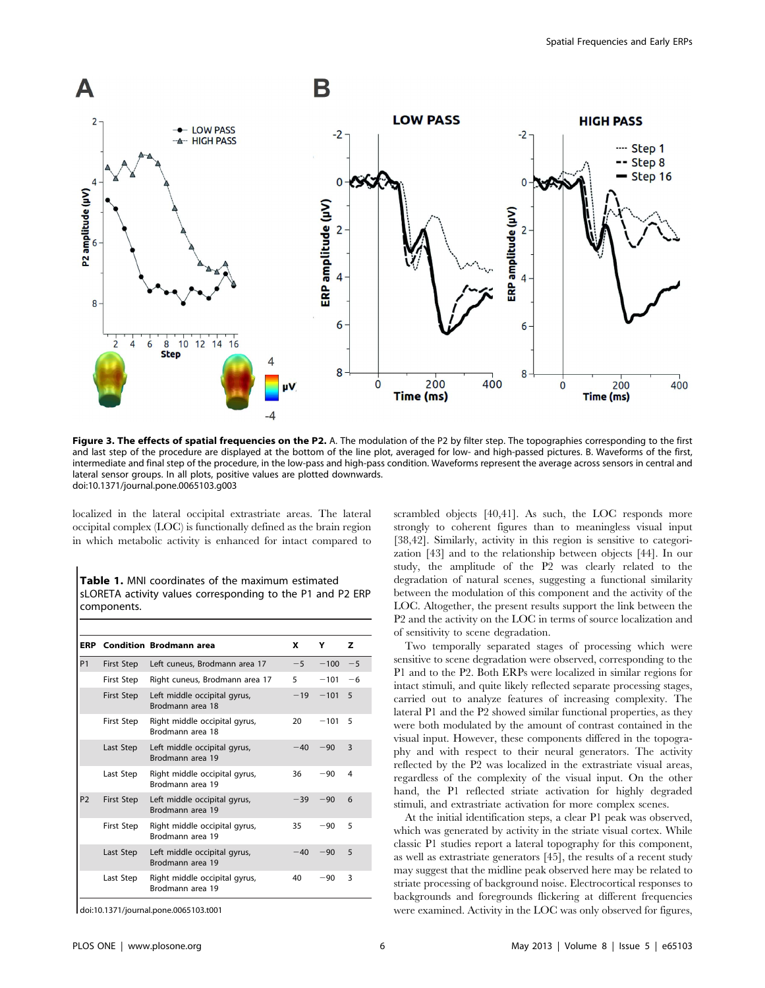

Figure 3. The effects of spatial frequencies on the P2. A. The modulation of the P2 by filter step. The topographies corresponding to the first and last step of the procedure are displayed at the bottom of the line plot, averaged for low- and high-passed pictures. B. Waveforms of the first, intermediate and final step of the procedure, in the low-pass and high-pass condition. Waveforms represent the average across sensors in central and lateral sensor groups. In all plots, positive values are plotted downwards. doi:10.1371/journal.pone.0065103.g003

localized in the lateral occipital extrastriate areas. The lateral occipital complex (LOC) is functionally defined as the brain region in which metabolic activity is enhanced for intact compared to

Table 1. MNI coordinates of the maximum estimated sLORETA activity values corresponding to the P1 and P2 ERP components.

| ERP            |            | <b>Condition Brodmann area</b>                    | x     | Y      | z            |  |
|----------------|------------|---------------------------------------------------|-------|--------|--------------|--|
| P <sub>1</sub> | First Step | Left cuneus, Brodmann area 17                     | $-5$  | $-100$ | $-5$         |  |
|                | First Step | Right cuneus, Brodmann area 17                    | 5     | $-101$ | $-6$         |  |
|                | First Step | Left middle occipital gyrus,<br>Brodmann area 18  | $-19$ | $-101$ | 5            |  |
|                | First Step | Right middle occipital gyrus,<br>Brodmann area 18 | 20    | $-101$ | 5            |  |
|                | Last Step  | Left middle occipital gyrus,<br>Brodmann area 19  | $-40$ | $-90$  | $\mathbf{3}$ |  |
|                | Last Step  | Right middle occipital gyrus,<br>Brodmann area 19 | 36    | $-90$  | 4            |  |
| P <sub>2</sub> | First Step | Left middle occipital gyrus,<br>Brodmann area 19  | $-39$ | $-90$  | 6            |  |
|                | First Step | Right middle occipital gyrus,<br>Brodmann area 19 | 35    | $-90$  | 5            |  |
|                | Last Step  | Left middle occipital gyrus,<br>Brodmann area 19  | $-40$ | $-90$  | 5            |  |
|                | Last Step  | Right middle occipital gyrus,<br>Brodmann area 19 | 40    | $-90$  | 3            |  |

doi:10.1371/journal.pone.0065103.t001

scrambled objects [40,41]. As such, the LOC responds more strongly to coherent figures than to meaningless visual input [38,42]. Similarly, activity in this region is sensitive to categorization [43] and to the relationship between objects [44]. In our study, the amplitude of the P2 was clearly related to the degradation of natural scenes, suggesting a functional similarity between the modulation of this component and the activity of the LOC. Altogether, the present results support the link between the P2 and the activity on the LOC in terms of source localization and of sensitivity to scene degradation.

Two temporally separated stages of processing which were sensitive to scene degradation were observed, corresponding to the P1 and to the P2. Both ERPs were localized in similar regions for intact stimuli, and quite likely reflected separate processing stages, carried out to analyze features of increasing complexity. The lateral P1 and the P2 showed similar functional properties, as they were both modulated by the amount of contrast contained in the visual input. However, these components differed in the topography and with respect to their neural generators. The activity reflected by the P2 was localized in the extrastriate visual areas, regardless of the complexity of the visual input. On the other hand, the P1 reflected striate activation for highly degraded stimuli, and extrastriate activation for more complex scenes.

At the initial identification steps, a clear P1 peak was observed, which was generated by activity in the striate visual cortex. While classic P1 studies report a lateral topography for this component, as well as extrastriate generators [45], the results of a recent study may suggest that the midline peak observed here may be related to striate processing of background noise. Electrocortical responses to backgrounds and foregrounds flickering at different frequencies were examined. Activity in the LOC was only observed for figures,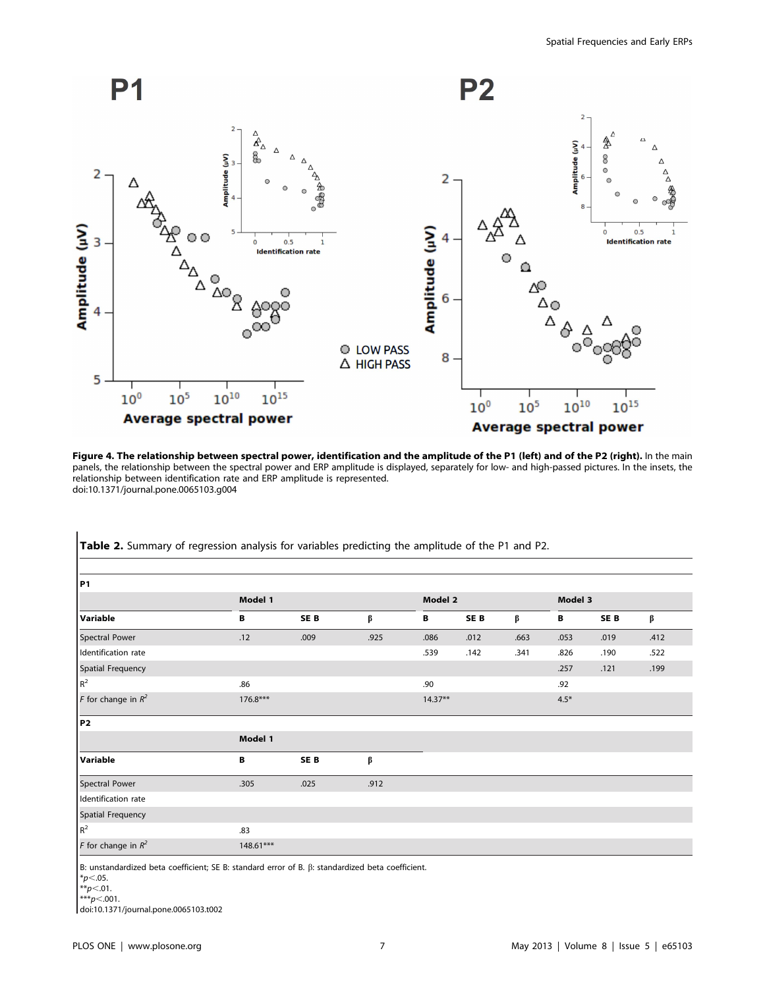

Figure 4. The relationship between spectral power, identification and the amplitude of the P1 (left) and of the P2 (right). In the main panels, the relationship between the spectral power and ERP amplitude is displayed, separately for low- and high-passed pictures. In the insets, the relationship between identification rate and ERP amplitude is represented. doi:10.1371/journal.pone.0065103.g004

| <b>P1</b>             |             |                 |      |           |                 |      |         |                 |      |  |  |  |  |
|-----------------------|-------------|-----------------|------|-----------|-----------------|------|---------|-----------------|------|--|--|--|--|
|                       | Model 1     |                 |      | Model 2   |                 |      | Model 3 |                 |      |  |  |  |  |
| Variable              | В           | SE <sub>B</sub> | β    | В         | SE <sub>B</sub> | β    | В       | SE <sub>B</sub> | β    |  |  |  |  |
| Spectral Power        | .12         | .009            | .925 | .086      | .012            | .663 | .053    | .019            | .412 |  |  |  |  |
| Identification rate   |             |                 |      | .539      | .142            | .341 | .826    | .190            | .522 |  |  |  |  |
| Spatial Frequency     |             |                 |      |           |                 |      | .257    | .121            | .199 |  |  |  |  |
| $\mathsf{R}^2$        | .86         |                 |      | .90       |                 |      | .92     |                 |      |  |  |  |  |
| F for change in $R^2$ | $176.8***$  |                 |      | $14.37**$ |                 |      | $4.5*$  |                 |      |  |  |  |  |
| <b>P2</b>             |             |                 |      |           |                 |      |         |                 |      |  |  |  |  |
|                       | Model 1     |                 |      |           |                 |      |         |                 |      |  |  |  |  |
| Variable              | В           | SE <sub>B</sub> | β    |           |                 |      |         |                 |      |  |  |  |  |
| Spectral Power        | .305        | .025            | .912 |           |                 |      |         |                 |      |  |  |  |  |
| Identification rate   |             |                 |      |           |                 |      |         |                 |      |  |  |  |  |
| Spatial Frequency     |             |                 |      |           |                 |      |         |                 |      |  |  |  |  |
| $\mathsf{R}^2$        | .83         |                 |      |           |                 |      |         |                 |      |  |  |  |  |
| F for change in $R^2$ | $148.61***$ |                 |      |           |                 |      |         |                 |      |  |  |  |  |

Table 2. Summary of regression analysis for variables predicting the amplitude of the P1 and P2.

B: unstandardized beta coefficient; SE B: standard error of B.  $\beta$ : standardized beta coefficient.

 $*_{p<.05}$ .

 $*p<.01$ .

 $***p<.001$ .

doi:10.1371/journal.pone.0065103.t002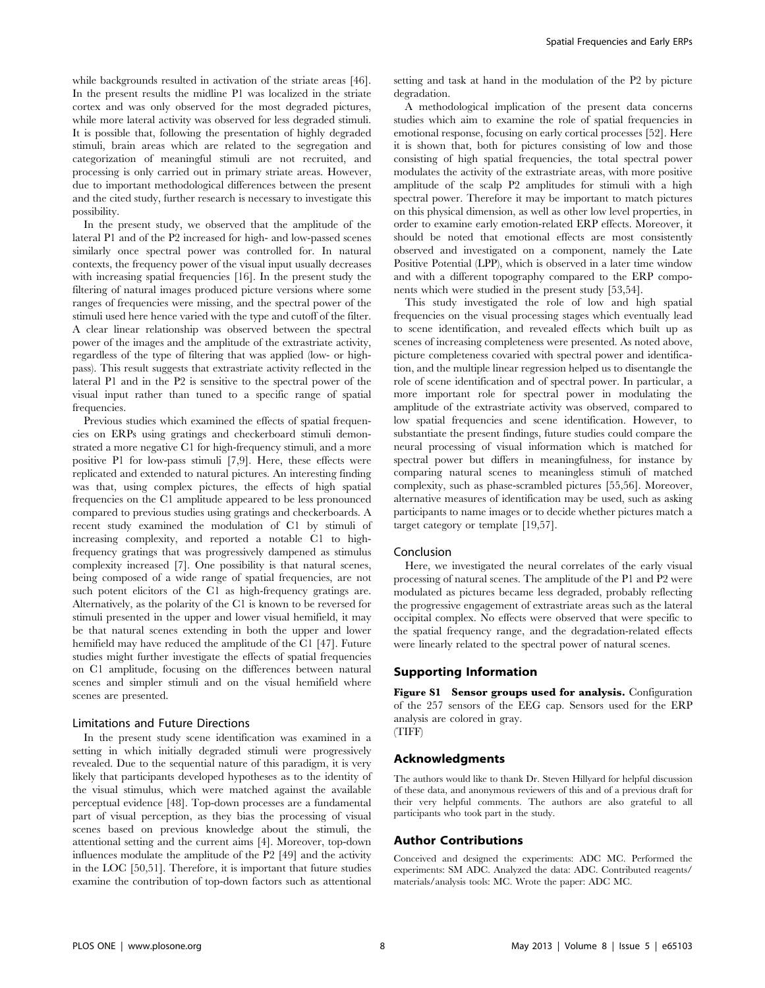while backgrounds resulted in activation of the striate areas [46]. In the present results the midline P1 was localized in the striate cortex and was only observed for the most degraded pictures, while more lateral activity was observed for less degraded stimuli. It is possible that, following the presentation of highly degraded stimuli, brain areas which are related to the segregation and categorization of meaningful stimuli are not recruited, and processing is only carried out in primary striate areas. However, due to important methodological differences between the present and the cited study, further research is necessary to investigate this possibility.

In the present study, we observed that the amplitude of the lateral P1 and of the P2 increased for high- and low-passed scenes similarly once spectral power was controlled for. In natural contexts, the frequency power of the visual input usually decreases with increasing spatial frequencies [16]. In the present study the filtering of natural images produced picture versions where some ranges of frequencies were missing, and the spectral power of the stimuli used here hence varied with the type and cutoff of the filter. A clear linear relationship was observed between the spectral power of the images and the amplitude of the extrastriate activity, regardless of the type of filtering that was applied (low- or highpass). This result suggests that extrastriate activity reflected in the lateral P1 and in the P2 is sensitive to the spectral power of the visual input rather than tuned to a specific range of spatial frequencies.

Previous studies which examined the effects of spatial frequencies on ERPs using gratings and checkerboard stimuli demonstrated a more negative C1 for high-frequency stimuli, and a more positive P1 for low-pass stimuli [7,9]. Here, these effects were replicated and extended to natural pictures. An interesting finding was that, using complex pictures, the effects of high spatial frequencies on the C1 amplitude appeared to be less pronounced compared to previous studies using gratings and checkerboards. A recent study examined the modulation of C1 by stimuli of increasing complexity, and reported a notable C1 to highfrequency gratings that was progressively dampened as stimulus complexity increased [7]. One possibility is that natural scenes, being composed of a wide range of spatial frequencies, are not such potent elicitors of the C1 as high-frequency gratings are. Alternatively, as the polarity of the C1 is known to be reversed for stimuli presented in the upper and lower visual hemifield, it may be that natural scenes extending in both the upper and lower hemifield may have reduced the amplitude of the C1 [47]. Future studies might further investigate the effects of spatial frequencies on C1 amplitude, focusing on the differences between natural scenes and simpler stimuli and on the visual hemifield where scenes are presented.

#### Limitations and Future Directions

In the present study scene identification was examined in a setting in which initially degraded stimuli were progressively revealed. Due to the sequential nature of this paradigm, it is very likely that participants developed hypotheses as to the identity of the visual stimulus, which were matched against the available perceptual evidence [48]. Top-down processes are a fundamental part of visual perception, as they bias the processing of visual scenes based on previous knowledge about the stimuli, the attentional setting and the current aims [4]. Moreover, top-down influences modulate the amplitude of the P2 [49] and the activity in the LOC [50,51]. Therefore, it is important that future studies examine the contribution of top-down factors such as attentional

setting and task at hand in the modulation of the P2 by picture degradation.

A methodological implication of the present data concerns studies which aim to examine the role of spatial frequencies in emotional response, focusing on early cortical processes [52]. Here it is shown that, both for pictures consisting of low and those consisting of high spatial frequencies, the total spectral power modulates the activity of the extrastriate areas, with more positive amplitude of the scalp P2 amplitudes for stimuli with a high spectral power. Therefore it may be important to match pictures on this physical dimension, as well as other low level properties, in order to examine early emotion-related ERP effects. Moreover, it should be noted that emotional effects are most consistently observed and investigated on a component, namely the Late Positive Potential (LPP), which is observed in a later time window and with a different topography compared to the ERP components which were studied in the present study [53,54].

This study investigated the role of low and high spatial frequencies on the visual processing stages which eventually lead to scene identification, and revealed effects which built up as scenes of increasing completeness were presented. As noted above, picture completeness covaried with spectral power and identification, and the multiple linear regression helped us to disentangle the role of scene identification and of spectral power. In particular, a more important role for spectral power in modulating the amplitude of the extrastriate activity was observed, compared to low spatial frequencies and scene identification. However, to substantiate the present findings, future studies could compare the neural processing of visual information which is matched for spectral power but differs in meaningfulness, for instance by comparing natural scenes to meaningless stimuli of matched complexity, such as phase-scrambled pictures [55,56]. Moreover, alternative measures of identification may be used, such as asking participants to name images or to decide whether pictures match a target category or template [19,57].

#### Conclusion

Here, we investigated the neural correlates of the early visual processing of natural scenes. The amplitude of the P1 and P2 were modulated as pictures became less degraded, probably reflecting the progressive engagement of extrastriate areas such as the lateral occipital complex. No effects were observed that were specific to the spatial frequency range, and the degradation-related effects were linearly related to the spectral power of natural scenes.

#### Supporting Information

Figure S1 Sensor groups used for analysis. Configuration of the 257 sensors of the EEG cap. Sensors used for the ERP analysis are colored in gray. (TIFF)

#### Acknowledgments

The authors would like to thank Dr. Steven Hillyard for helpful discussion of these data, and anonymous reviewers of this and of a previous draft for their very helpful comments. The authors are also grateful to all participants who took part in the study.

# Author Contributions

Conceived and designed the experiments: ADC MC. Performed the experiments: SM ADC. Analyzed the data: ADC. Contributed reagents/ materials/analysis tools: MC. Wrote the paper: ADC MC.